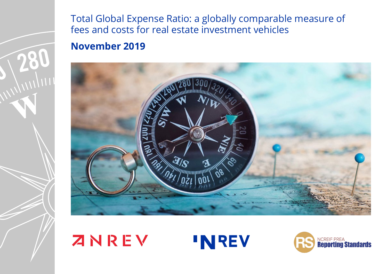

Total Global Expense Ratio: a globally comparable measure of fees and costs for real estate investment vehicles **November 2019**



# ZNREV **'NREV**

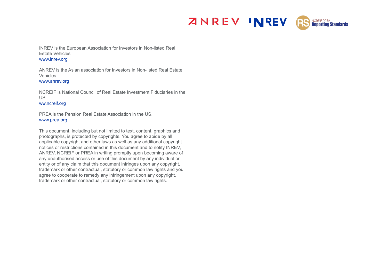



INREV is the European Association for Investors in Non-listed Real Estate Vehicles [www.inrev.org](http://www.inrev.org)

ANREV is the Asian association for Investors in Non-listed Real Estate Vehicles.

[www.anrev.org](http://www.anrev.org)

NCREIF is National Council of Real Estate Investment Fiduciaries in the US.

[ww.ncreif.org](http://ww.ncreif.org)

PREA is the Pension Real Estate Association in the US. [www.prea.org](http://www.prea.org)

This document, including but not limited to text, content, graphics and photographs, is protected by copyrights. You agree to abide by all applicable copyright and other laws as well as any additional copyright notices or restrictions contained in this document and to notify INREV, ANREV, NCREIF or PREA in writing promptly upon becoming aware of any unauthorised access or use of this document by any individual or entity or of any claim that this document infringes upon any copyright, trademark or other contractual, statutory or common law rights and you agree to cooperate to remedy any infringement upon any copyright, trademark or other contractual, statutory or common law rights.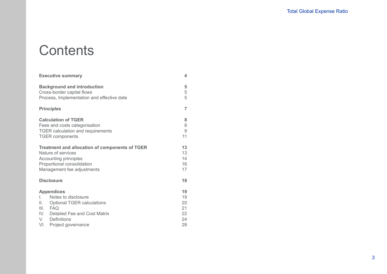# **Contents**

| <b>Executive summary</b>                                                                                                                                                                                 | 4                                      |
|----------------------------------------------------------------------------------------------------------------------------------------------------------------------------------------------------------|----------------------------------------|
| <b>Background and introduction</b><br>Cross-border capital flows<br>Process, Implementation and effective date                                                                                           | 5<br>5<br>5                            |
| <b>Principles</b>                                                                                                                                                                                        | $\overline{7}$                         |
| <b>Calculation of TGER</b><br>Fees and costs categorisation<br><b>TGER</b> calculation and requirements<br><b>TGER</b> components                                                                        | 8<br>8<br>9<br>11                      |
| <b>Treatment and allocation of components of TGER</b><br>Nature of services<br>Accounting principles<br>Proportional consolidation<br>Management fee adjustments                                         | 13<br>13<br>14<br>16<br>17             |
| <b>Disclosure</b>                                                                                                                                                                                        | 18                                     |
| <b>Appendices</b><br>Notes to disclosure<br>L.<br>Ш.<br><b>Optional TGER calculations</b><br>III.<br><b>FAQ</b><br>IV.<br>Detailed Fee and Cost Matrix<br>Definitions<br>V.<br>VI.<br>Project governance | 19<br>19<br>20<br>21<br>22<br>24<br>28 |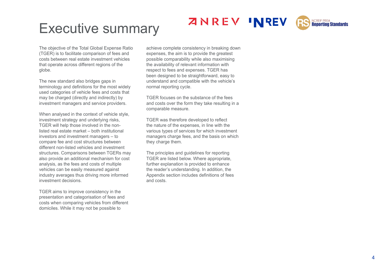



# Executive summary

The objective of the Total Global Expense Ratio (TGER) is to facilitate comparison of fees and costs between real estate investment vehicles that operate across different regions of the globe.

The new standard also bridges gaps in terminology and definitions for the most widely used categories of vehicle fees and costs that may be charged (directly and indirectly) by investment managers and service providers.

When analysed in the context of vehicle style, investment strategy and underlying risks, TGER will help those involved in the nonlisted real estate market – both institutional investors and investment managers – to compare fee and cost structures between different non-listed vehicles and investment structures. Comparisons between TGERs may also provide an additional mechanism for cost analysis, as the fees and costs of multiple vehicles can be easily measured against industry averages thus driving more informed investment decisions.

TGER aims to improve consistency in the presentation and categorisation of fees and costs when comparing vehicles from different domiciles. While it may not be possible to

achieve complete consistency in breaking down expenses, the aim is to provide the greatest possible comparability while also maximising the availability of relevant information with respect to fees and expenses. TGER has been designed to be straightforward, easy to understand and compatible with the vehicle's normal reporting cycle.

TGER focuses on the substance of the fees and costs over the form they take resulting in a comparable measure.

TGER was therefore developed to reflect the nature of the expenses, in line with the various types of services for which investment managers charge fees, and the basis on which they charge them.

The principles and guidelines for reporting TGER are listed below. Where appropriate, further explanation is provided to enhance the reader's understanding. In addition, the Appendix section includes definitions of fees and costs.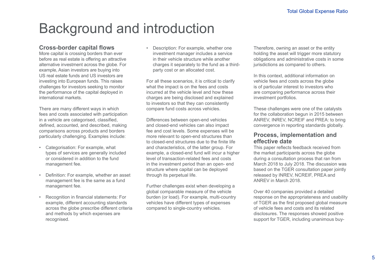# Background and introduction

# **Cross-border capital flows**

More capital is crossing borders than ever before as real estate is offering an attractive alternative investment across the globe. For example, Asian investors are buying into US real estate funds and US investors are investing into European funds. This raises challenges for investors seeking to monitor the performance of the capital deployed in international markets.

There are many different ways in which fees and costs associated with participation in a vehicle are categorised, classified, defined, accounted, and described, making comparisons across products and borders particularly challenging. Examples include:

- Categorisation: For example, what types of services are generally included or considered in addition to the fund management fee.
- Definition: For example, whether an asset management fee is the same as a fund management fee.
- Recognition in financial statements: For example, different accounting standards across the globe prescribe different criteria and methods by which expenses are recognised.

• Description: For example, whether one investment manager includes a service in their vehicle structure while another charges it separately to the fund as a thirdparty cost or an allocated cost.

For all these scenarios, it is critical to clarify what the impact is on the fees and costs incurred at the vehicle level and how these charges are being disclosed and explained to investors so that they can consistently compare fund costs across vehicles.

Differences between open-end vehicles and closed-end vehicles can also impact fee and cost levels. Some expenses will be more relevant to open-end structures than to closed-end structures due to the finite life and characteristics, of the latter group. For example, a closed-end fund will incur a higher level of transaction-related fees and costs in the investment period than an open- end structure where capital can be deployed through its perpetual life.

Further challenges exist when developing a global comparable measure of the vehicle burden (or load). For example, multi-country vehicles have different types of expenses compared to single-country vehicles.

Therefore, owning an asset or the entity holding the asset will trigger more statutory obligations and administrative costs in some jurisdictions as compared to others.

In this context, additional information on vehicle fees and costs across the globe is of particular interest to investors who are comparing performance across their investment portfolios.

These challenges were one of the catalysts for the collaboration begun in 2015 between ANREV, INREV, NCREIF and PREA: to bring convergence in reporting standards globally.

# **Process, implementation and effective date**

This paper reflects feedback received from the market participants across the globe during a consultation process that ran from March 2018 to July 2018. The discussion was based on the TGER consultation paper jointly released by INREV, NCREIF, PREA and ANREV in March 2018.

Over 40 companies provided a detailed response on the appropriateness and usability of TGER as the first proposed global measure of vehicle fees and costs and its related disclosures. The responses showed positive support for TGER, including unanimous buy-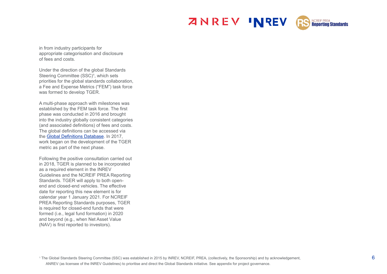



in from industry participants for appropriate categorisation and disclosure of fees and costs.

Under the direction of the global Standards Steering Committee (SSC)<sup>1</sup>, which sets priorities for the global standards collaboration, a Fee and Expense Metrics ("FEM") task force was formed to develop TGER.

A multi-phase approach with milestones was established by the FEM task force. The first phase was conducted in 2016 and brought into the industry globally consistent categories (and associated definitions) of fees and costs. The global definitions can be accessed via the Global Definitions Database. In 2017, work began on the development of the TGER metric as part of the next phase.

Following the positive consultation carried out in 2018, TGER is planned to be incorporated as a required element in the INREV Guidelines and the NCREIF PREA Reporting Standards. TGER will apply to both openend and closed-end vehicles. The effective date for reporting this new element is for calendar year 1 January 2021. For NCREIF PREA Reporting Standards purposes, TGER is required for closed-end funds that were formed (i.e., legal fund formation) in 2020 and beyond (e.g., when Net Asset Value (NAV) is first reported to investors).

 $^{\rm 1}$  The Global Standards Steering Committee (SSC) was established in 2015 by INREV, NCREIF, PREA, (collectively, the Sponsorship) and by acknowledgement,  $6$ ANREV (as licensee of the INREV Guidelines) to prioritise and direct the Global Standards initiative. See appendix for project governance.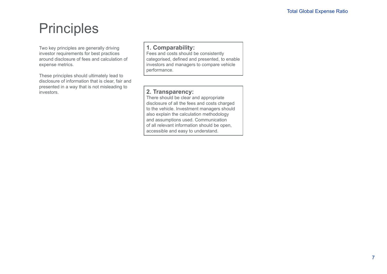# **Principles**

Two key principles are generally driving investor requirements for best practices around disclosure of fees and calculation of expense metrics.

These principles should ultimately lead to disclosure of information that is clear, fair and presented in a way that is not misleading to investors.

# **1. Comparability:**

Fees and costs should be consistently categorised, defined and presented, to enable investors and managers to compare vehicle performance.

# **2. Transparency:**

There should be clear and appropriate disclosure of all the fees and costs charged to the vehicle. Investment managers should also explain the calculation methodology and assumptions used. Communication of all relevant information should be open, accessible and easy to understand.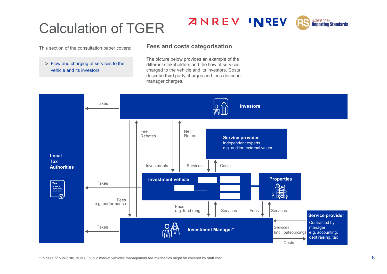# Calculation of TGER

This section of the consultation paper covers:

## > Flow and charging of services to the vehicle and its investors

The picture below provides an example of the different stakeholders and the flow of services charged to the vehicle and its investors. Costs describe third party charges and fees describe manager charges.

**ZNREV INREV** 

**Fees and costs categorisation**



\* In case of public structures / public market vehicles management fee mechanics might be covered by staff cost

**NCREIF PREA**<br>**Reporting Standards** 

RS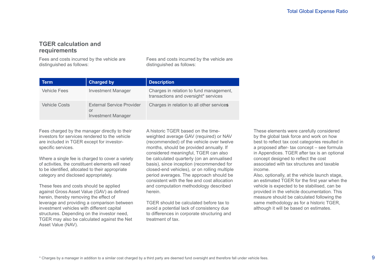# **TGER calculation and requirements**

Fees and costs incurred by the vehicle are distinguished as follows:

Fees and costs incurred by the vehicle are distinguished as follows:

| Term                 | <b>Charged by</b>                                                   | <b>Description</b>                                                              |
|----------------------|---------------------------------------------------------------------|---------------------------------------------------------------------------------|
| <b>Vehicle Fees</b>  | <b>Investment Manager</b>                                           | Charges in relation to fund management,<br>transactions and oversight* services |
| <b>Vehicle Costs</b> | <b>External Service Provider</b><br>or<br><b>Investment Manager</b> | Charges in relation to all other services                                       |

Fees charged by the manager directly to their investors for services rendered to the vehicle are included in TGER except for investorspecific services.

Where a single fee is charged to cover a variety of activities, the constituent elements will need to be identified, allocated to their appropriate category and disclosed appropriately.

These fees and costs should be applied against Gross Asset Value (GAV) as defined herein, thereby removing the effect of leverage and providing a comparison between investment vehicles with different capital structures. Depending on the investor need, TGER may also be calculated against the Net Asset Value (NAV).

A historic TGER based on the timeweighted average GAV (required) or NAV (recommended) of the vehicle over twelve months, should be provided annually. If considered meaningful, TGER can also be calculated quarterly (on an annualised basis), since inception (recommended for closed-end vehicles), or on rolling multiple period averages. The approach should be consistent with the fee and cost allocation and computation methodology described herein.

TGER should be calculated before tax to avoid a potential lack of consistency due to differences in corporate structuring and treatment of tax.

These elements were carefully considered by the global task force and work on how best to reflect tax cost categories resulted in a proposed after- tax concept – see formula in Appendices. TGER after tax is an optional concept designed to reflect the cost associated with tax structures and taxable income.

Also, optionally, at the vehicle launch stage, an estimated TGER for the first year when the vehicle is expected to be stabilised, can be provided in the vehicle documentation. This measure should be calculated following the same methodology as for a historic TGER, although it will be based on estimates.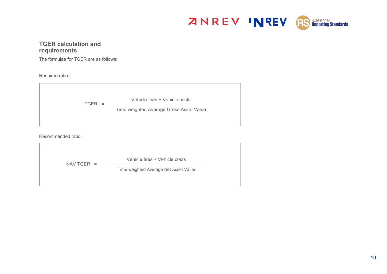

# **TGER calculation and requirements**

The formulae for TGER are as follows:

Required ratio:



Recommended ratio:

|                      | Vehicle fees + Vehicle costs          |
|----------------------|---------------------------------------|
| NAV TGER<br>$\equiv$ | Time weighted Average Net Asset Value |
|                      |                                       |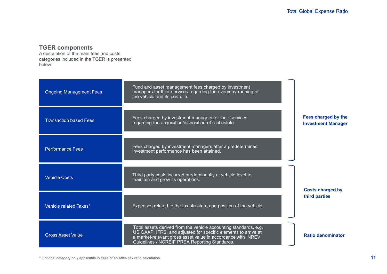# **TGER components**

A description of the main fees and costs categories included in the TGER is presented below:

| <b>Ongoing Management Fees</b> | Fund and asset management fees charged by investment<br>managers for their services regarding the everyday running of<br>the vehicle and its portfolio.                                                                                             |                                                  |  |
|--------------------------------|-----------------------------------------------------------------------------------------------------------------------------------------------------------------------------------------------------------------------------------------------------|--------------------------------------------------|--|
| <b>Transaction based Fees</b>  | Fees charged by investment managers for their services<br>regarding the acquisition/disposition of real estate.                                                                                                                                     | Fees charged by the<br><b>Investment Manager</b> |  |
| <b>Performance Fees</b>        | Fees charged by investment managers after a predetermined<br>investment performance has been attained.                                                                                                                                              |                                                  |  |
| <b>Vehicle Costs</b>           | Third party costs incurred predominantly at vehicle level to<br>maintain and grow its operations.                                                                                                                                                   | <b>Costs charged by</b>                          |  |
| Vehicle related Taxes*         | Expenses related to the tax structure and position of the vehicle.                                                                                                                                                                                  | third parties                                    |  |
| <b>Gross Asset Value</b>       | Total assets derived from the vehicle accounting standards, e.g.<br>US GAAP, IFRS, and adjusted for specific elements to arrive at<br>a market-relevant gross asset value in accordance with INREV<br>Guidelines / NCREIF PREA Reporting Standards. | <b>Ratio denominator</b>                         |  |

\* Optional category only applicable in case of an after- tax ratio calculation.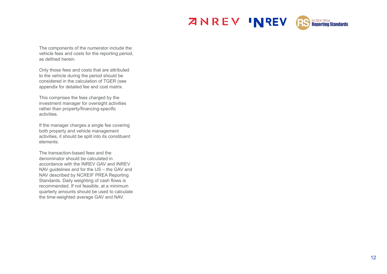



The components of the numerator include the vehicle fees and costs for the reporting period, as defined herein.

Only those fees and costs that are attributed to the vehicle during the period should be considered in the calculation of TGER (see appendix for detailed fee and cost matrix.

This comprises the fees charged by the investment manager for oversight activities rather than property/financing-specific activities.

If the manager charges a single fee covering both property and vehicle management activities, it should be split into its constituent elements.

The transaction-based fees and the denominator should be calculated in accordance with the INREV GAV and INREV NAV guidelines and for the US – the GAV and NAV described by NCREIF PREA Reporting Standards. Daily weighting of cash flows is recommended. If not feasible, at a minimum quarterly amounts should be used to calculate the time-weighted average GAV and NAV.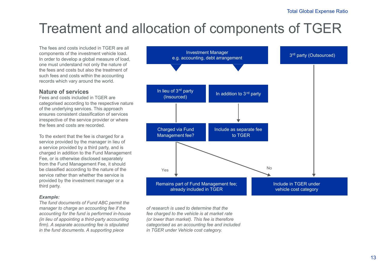# Treatment and allocation of components of TGER

The fees and costs included in TGER are all components of the investment vehicle load. In order to develop a global measure of load, one must understand not only the nature of the fees and costs but also the treatment of such fees and costs within the accounting records which vary around the world.

## **Nature of services**

Fees and costs included in TGER are categorised according to the respective nature of the underlying services. This approach ensures consistent classification of services irrespective of the service provider or where the fees and costs are recorded.

To the extent that the fee is charged for a service provided by the manager in lieu of a service provided by a third party, and is charged in addition to the Fund Management Fee, or is otherwise disclosed separately from the Fund Management Fee, it should be classified according to the nature of the service rather than whether the service is provided by the investment manager or a third party.

## *Example:*

*The fund documents of Fund ABC permit the manager to charge an accounting fee if the accounting for the fund is performed in-house (in lieu of appointing a third-party accounting firm). A separate accounting fee is stipulated in the fund documents. A supporting piece* 



*of research is used to determine that the fee charged to the vehicle is at market rate (or lower than market). This fee is therefore categorised as an accounting fee and included in TGER under Vehicle cost category.*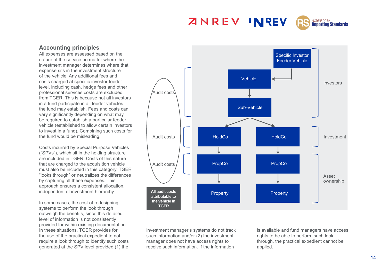# **ZNREV INREV**



# **Accounting principles**

All expenses are assessed based on the nature of the service no matter where the investment manager determines where that expense sits in the investment structure of the vehicle. Any additional fees and costs charged at specific investor feeder level, including cash, hedge fees and other professional services costs are excluded from TGER. This is because not all investors in a fund participate in all feeder vehicles the fund may establish. Fees and costs can vary significantly depending on what may be required to establish a particular feeder vehicle (established to allow certain investors to invest in a fund). Combining such costs for the fund would be misleading.

Costs incurred by Special Purpose Vehicles ("SPVs"), which sit in the holding structure are included in TGER. Costs of this nature that are charged to the acquisition vehicle must also be included in this category. TGER "looks through" or neutralizes the differences by capturing all these expenses. This approach ensures a consistent allocation, independent of investment hierarchy.

In some cases, the cost of redesigning systems to perform the look through outweigh the benefits, since this detailed level of information is not consistently provided for within existing documentation. In these situations, TGER provides for the use of the practical expedient to not require a look through to identify such costs generated at the SPV level provided (1) the



investment manager's systems do not track such information and/or (2) the investment manager does not have access rights to receive such information. If the information

is available and fund managers have access rights to be able to perform such look through, the practical expedient cannot be applied.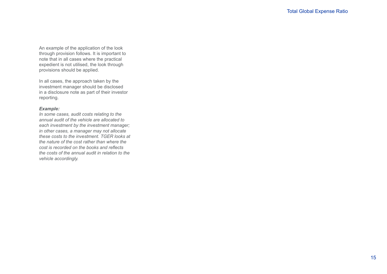An example of the application of the look through provision follows. It is important to note that in all cases where the practical expedient is not utilised, the look through provisions should be applied.

In all cases, the approach taken by the investment manager should be disclosed in a disclosure note as part of their investor reporting.

## *Example:*

*In some cases, audit costs relating to the annual audit of the vehicle are allocated to each investment by the investment manager; in other cases, a manager may not allocate these costs to the investment. TGER looks at the nature of the cost rather than where the cost is recorded on the books and reflects the costs of the annual audit in relation to the vehicle accordingly.*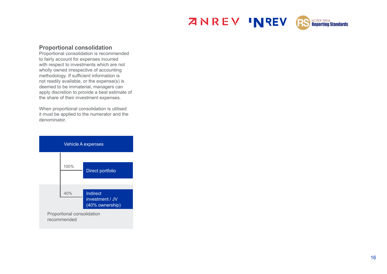



## **Proportional consolidation**

Proportional consolidation is recommended to fairly account for expenses incurred with respect to investments which are not wholly owned irrespective of accounting methodology. If sufficient information is not readily available, or the expense(s) is deemed to be immaterial, managers can apply discretion to provide a best estimate of the share of their investment expenses.

When proportional consolidation is utilised it must be applied to the numerator and the

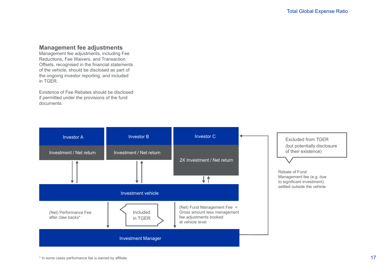# **Management fee adjustments**

Management fee adjustments, including Fee Reductions, Fee Waivers, and Transaction Offsets, recognised in the financial statements of the vehicle, should be disclosed as part of the ongoing investor reporting, and included in TGER.

Existence of Fee Rebates should be disclosed if permitted under the provisions of the fund documents.

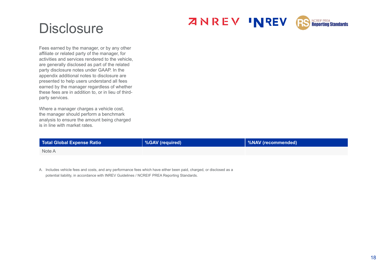



# **Disclosure**

Fees earned by the manager, or by any other affiliate or related party of the manager, for activities and services rendered to the vehicle, are generally disclosed as part of the related party disclosure notes under GAAP. In the appendix additional notes to disclosure are presented to help users understand all fees earned by the manager regardless of whether these fees are in addition to, or in lieu of thirdparty services.

Where a manager charges a vehicle cost, the manager should perform a benchmark analysis to ensure the amount being charged is in line with market rates.

| Total Global Expense Ratio | <b>SGAV</b> (required) | %NAV (recommended) |
|----------------------------|------------------------|--------------------|
| Note A                     |                        |                    |

A. Includes vehicle fees and costs, and any performance fees which have either been paid, charged, or disclosed as a potential liability, in accordance with INREV Guidelines / NCREIF PREA Reporting Standards.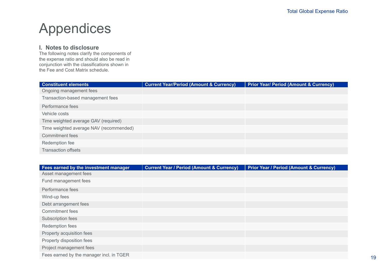# Appendices

# **I. Notes to disclosure**

The following notes clarify the components of the expense ratio and should also be read in conjunction with the classifications shown in the Fee and Cost Matrix schedule.

| <b>Constituent elements</b>             | <b>Current Year/Period (Amount &amp; Currency)</b> | <b>Prior Year/ Period (Amount &amp; Currency)</b> |
|-----------------------------------------|----------------------------------------------------|---------------------------------------------------|
| Ongoing management fees                 |                                                    |                                                   |
| Transaction-based management fees       |                                                    |                                                   |
| Performance fees                        |                                                    |                                                   |
| Vehicle costs                           |                                                    |                                                   |
| Time weighted average GAV (required)    |                                                    |                                                   |
| Time weighted average NAV (recommended) |                                                    |                                                   |
| Commitment fees                         |                                                    |                                                   |
| Redemption fee                          |                                                    |                                                   |
| <b>Transaction offsets</b>              |                                                    |                                                   |

| Fees earned by the investment manager    | <b>Current Year / Period (Amount &amp; Currency)</b> | <b>Prior Year / Period (Amount &amp; Currency)</b> |
|------------------------------------------|------------------------------------------------------|----------------------------------------------------|
| Asset management fees                    |                                                      |                                                    |
| Fund management fees                     |                                                      |                                                    |
| Performance fees                         |                                                      |                                                    |
| Wind-up fees                             |                                                      |                                                    |
| Debt arrangement fees                    |                                                      |                                                    |
| <b>Commitment fees</b>                   |                                                      |                                                    |
| Subscription fees                        |                                                      |                                                    |
| Redemption fees                          |                                                      |                                                    |
| Property acquisition fees                |                                                      |                                                    |
| Property disposition fees                |                                                      |                                                    |
| Project management fees                  |                                                      |                                                    |
| Fees earned by the manager incl. in TGER |                                                      |                                                    |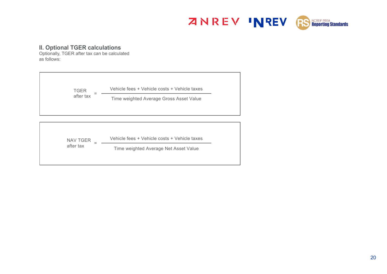

# **II. Optional TGER calculations**

Optionally, TGER after tax can be calculated as follows:

| after tax<br>Time weighted Average Gross Asset Value | <b>TGER</b> | Vehicle fees + Vehicle costs + Vehicle taxes |  |
|------------------------------------------------------|-------------|----------------------------------------------|--|
|                                                      |             |                                              |  |

| NAV TGER  | Vehicle fees + Vehicle costs + Vehicle taxes |
|-----------|----------------------------------------------|
| after tax | Time weighted Average Net Asset Value        |
|           |                                              |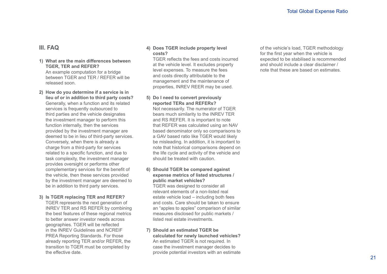# **III. FAQ**

## **1) What are the main differences between TGER, TER and REFER?** An example computation for a bridge between TGER and TER / REFER will be released soon.

**2) How do you determine if a service is in lieu of or in addition to third party costs?** Generally, when a function and its related services is frequently outsourced to third parties and the vehicle designates the investment manager to perform this function internally, then the services provided by the investment manager are deemed to be in lieu of third-party services. Conversely, when there is already a charge from a third-party for services related to a specific function, and due to task complexity, the investment manager provides oversight or performs other complementary services for the benefit of the vehicle, then these services provided by the investment manager are deemed to be in addition to third party services.

## **3) Is TGER replacing TER and REFER?**

TGER represents the next generation of INREV TER and RS REFER by combining the best features of these regional metrics to better answer investor needs across geographies. TGER will be reflected in the INREV Guidelines and NCREIF PREA Reporting Standards. For those already reporting TER and/or REFER, the transition to TGER must be completed by the effective date.

## **4) Does TGER include property level costs?**

TGER reflects the fees and costs incurred at the vehicle level. It excludes property level expenses. To measure the fees and costs directly attributable to the management and the maintenance of properties, INREV REER may be used.

## **5) Do I need to convert previously reported TERs and REFERs?**

Not necessarily. The numerator of TGER bears much similarity to the INREV TER and RS REFER. It is important to note that REFER was calculated using an NAV based denominator only so comparisons to a GAV based ratio like TGER would likely be misleading. In addition, it is important to note that historical comparisons depend on the life cycle and activity of the vehicle and should be treated with caution.

### **6) Should TGER be compared against expense metrics of listed structures / public market vehicles?**

TGER was designed to consider all relevant elements of a non-listed real estate vehicle load – including both fees and costs. Care should be taken to ensure an "apples to apples" comparison of similar measures disclosed for public markets / listed real estate investments.

### **7) Should an estimated TGER be calculated for newly launched vehicles?** An estimated TGER is not required. In case the investment manager decides to provide potential investors with an estimate

of the vehicle's load, TGER methodology for the first year when the vehicle is expected to be stabilised is recommended and should include a clear disclaimer / note that these are based on estimates.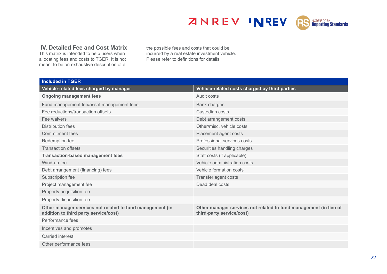**ZNREV INREV** 



# **IV. Detailed Fee and Cost Matrix**

This matrix is intended to help users when allocating fees and costs to TGER. It is not meant to be an exhaustive description of all the possible fees and costs that could be incurred by a real estate investment vehicle. Please refer to definitions for details.

| <b>Included in TGER</b>                                                                            |                                                                                                |
|----------------------------------------------------------------------------------------------------|------------------------------------------------------------------------------------------------|
| Vehicle-related fees charged by manager                                                            | Vehicle-related costs charged by third parties                                                 |
| <b>Ongoing management fees</b>                                                                     | Audit costs                                                                                    |
| Fund management fee/asset management fees                                                          | <b>Bank charges</b>                                                                            |
| Fee reductions/transaction offsets                                                                 | Custodian costs                                                                                |
| Fee waivers                                                                                        | Debt arrangement costs                                                                         |
| <b>Distribution fees</b>                                                                           | Other/misc. vehicle costs                                                                      |
| <b>Commitment fees</b>                                                                             | Placement agent costs                                                                          |
| Redemption fee                                                                                     | Professional services costs                                                                    |
| <b>Transaction offsets</b>                                                                         | Securities handling charges                                                                    |
| <b>Transaction-based management fees</b>                                                           | Staff costs (if applicable)                                                                    |
| Wind-up fee                                                                                        | Vehicle administration costs                                                                   |
| Debt arrangement (financing) fees                                                                  | Vehicle formation costs                                                                        |
| Subscription fee                                                                                   | Transfer agent costs                                                                           |
| Project management fee                                                                             | Dead deal costs                                                                                |
| Property acquisition fee                                                                           |                                                                                                |
| Property disposition fee                                                                           |                                                                                                |
| Other manager services not related to fund management (in<br>addition to third party service/cost) | Other manager services not related to fund management (in lieu of<br>third-party service/cost) |
| Performance fees                                                                                   |                                                                                                |
| Incentives and promotes                                                                            |                                                                                                |
| Carried interest                                                                                   |                                                                                                |
| Other performance fees                                                                             |                                                                                                |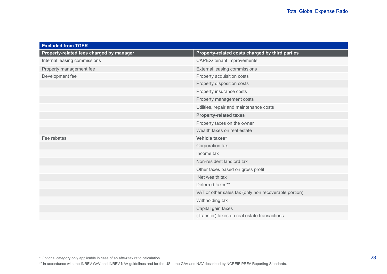| <b>Excluded from TGER</b>                |                                                       |
|------------------------------------------|-------------------------------------------------------|
| Property-related fees charged by manager | Property-related costs charged by third parties       |
| Internal leasing commissions             | CAPEX/ tenant improvements                            |
| Property management fee                  | External leasing commissions                          |
| Development fee                          | Property acquisition costs                            |
|                                          | Property disposition costs                            |
|                                          | Property insurance costs                              |
|                                          | Property management costs                             |
|                                          | Utilities, repair and maintenance costs               |
|                                          | <b>Property-related taxes</b>                         |
|                                          | Property taxes on the owner                           |
|                                          | Wealth taxes on real estate                           |
| Fee rebates                              | Vehicle taxes*                                        |
|                                          | Corporation tax                                       |
|                                          | Income tax                                            |
|                                          | Non-resident landlord tax                             |
|                                          | Other taxes based on gross profit                     |
|                                          | Net wealth tax                                        |
|                                          | Deferred taxes**                                      |
|                                          | VAT or other sales tax (only non recoverable portion) |
|                                          | Withholding tax                                       |
|                                          | Capital gain taxes                                    |
|                                          | (Transfer) taxes on real estate transactions          |

\*\* In accordance with the INREV GAV and INREV NAV guidelines and for the US – the GAV and NAV described by NCREIF PREA Reporting Standards.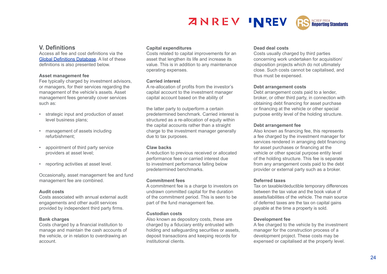# **ZNREV INREV**



# **V. Definitions**

Access all fee and cost definitions via the [Global Definitions Database.](https://www.inrev.org/definitions/) A list of these definitions is also presented below.

#### **Asset management fee**

Fee typically charged by investment advisors, or managers, for their services regarding the management of the vehicle's assets. Asset management fees generally cover services such as:

- strategic input and production of asset level business plans;
- management of assets including refurbishment;
- appointment of third party service providers at asset level;
- reporting activities at asset level.

Occasionally, asset management fee and fund management fee are combined.

#### **Audit costs**

Costs associated with annual external audit engagements and other audit services provided by independent third party firms.

## **Bank charges**

Costs charged by a financial institution to manage and maintain the cash accounts of the vehicle, or in relation to overdrawing an account.

#### **Capital expenditures**

Costs related to capital improvements for an asset that lengthen its life and increase its value. This is in addition to any maintenance operating expenses.

#### **Carried interest**

A re-allocation of profits from the investor's capital account to the investment manager capital account based on the ability of

the latter party to outperform a certain predetermined benchmark. Carried interest is structured as a re-allocation of equity within the capital accounts rather than a straight charge to the investment manager generally due to tax purposes.

## **Claw backs**

A reduction to previous received or allocated performance fees or carried interest due to investment performance falling below predetermined benchmarks.

## **Commitment fees**

A commitment fee is a charge to investors on undrawn committed capital for the duration of the commitment period. This is seen to be part of the fund management fee.

## **Custodian costs**

Also known as depository costs, these are charged by a fiduciary entity entrusted with holding and safeguarding securities or assets, deposit transactions and keeping records for institutional clients.

## **Dead deal costs**

Costs usually charged by third parties concerning work undertaken for acquisition/ disposition projects which do not ultimately close. Such costs cannot be capitalised, and thus must be expensed.

## **Debt arrangement costs**

Debt arrangement costs paid to a lender, broker, or other third party, in connection with obtaining debt financing for asset purchase or financing at the vehicle or other special purpose entity level of the holding structure.

## **Debt arrangement fee**

Also known as financing fee, this represents a fee charged by the investment manager for services rendered in arranging debt financing for asset purchases or financing at the vehicle or other special purpose entity level of the holding structure. This fee is separate from any arrangement costs paid to the debt provider or external party such as a broker.

## **Deferred taxes**

Tax on taxable/deductible temporary differences between the tax value and the book value of assets/liabilities of the vehicle. The main source of deferred taxes are the tax on capital gains payable at the time a property is sold.

## **Development fee**

A fee charged to the vehicle by the investment manager for the construction process of a development project. These costs may be expensed or capitalised at the property level.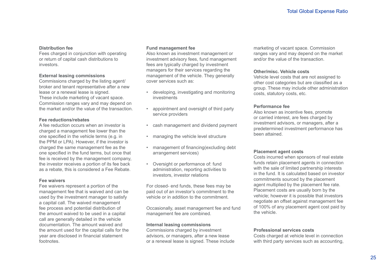### **Distribution fee**

Fees charged in conjunction with operating or return of capital cash distributions to investors.

#### **External leasing commissions**

Commissions charged by the listing agent/ broker and tenant representative after a new lease or a renewal lease is signed. These include marketing of vacant space. Commission ranges vary and may depend on the market and/or the value of the transaction.

## **Fee reductions/rebates**

A fee reduction occurs when an investor is charged a management fee lower than the one specified in the vehicle terms (e.g. in the PPM or LPA). However, if the investor is charged the same management fee as the one specified in the fund terms, but once that fee is received by the management company, the investor receives a portion of its fee back as a rebate, this is considered a Fee Rebate.

## **Fee waivers**

Fee waivers represent a portion of the management fee that is waived and can be used by the investment manager to satisfy a capital call. The waived management fee process and potential distribution of the amount waived to be used in a capital call are generally detailed in the vehicle documentation. The amount waived and the amount used for the capital calls for the year are disclosed in financial statement footnotes.

### **Fund management fee**

Also known as investment management or investment advisory fees, fund management fees are typically charged by investment managers for their services regarding the management of the vehicle. They generally cover services such as:

- developing, investigating and monitoring investments
- appointment and oversight of third party service providers
- cash management and dividend payment
- managing the vehicle level structure
- management of financing(excluding debt arrangement services)
- Oversight or performance of: fund administration, reporting activities to investors, investor relations

For closed- end funds, these fees may be paid out of an investor's commitment to the vehicle or in addition to the commitment.

Occasionally, asset management fee and fund management fee are combined.

#### **Internal leasing commissions**

Commissions charged by investment advisors, or managers, after a new lease or a renewal lease is signed. These include

marketing of vacant space. Commission ranges vary and may depend on the market and/or the value of the transaction.

#### **Other/misc. Vehicle costs**

Vehicle level costs that are not assigned to other cost categories but are classified as a group. These may include other administration costs, statutory costs, etc.

#### **Performance fee**

Also known as incentive fees, promote or carried interest, are fees charged by investment advisors, or managers, after a predetermined investment performance has been attained.

#### **Placement agent costs**

Costs incurred when sponsors of real estate funds retain placement agents in connection with the sale of limited partnership interests in the fund. It is calculated based on investor commitments sourced by the placement agent multiplied by the placement fee rate. Placement costs are usually born by the vehicle; however it is possible that investors negotiate an offset against management fee of 100% of any placement agent cost paid by the vehicle.

#### **Professional services costs**

Costs charged at vehicle level in connection with third party services such as accounting.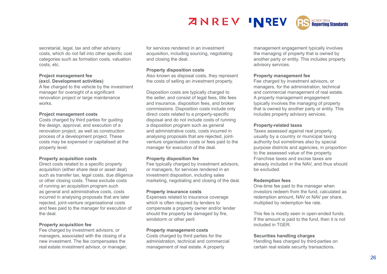

secretarial, legal, tax and other advisory costs, which do not fall into other specific cost categories such as formation costs, valuation costs, etc.

#### **Project management fee (excl. Development activities)**

A fee charged to the vehicle by the investment manager for oversight of a significant renovation project or large maintenance works.

#### **Project management costs**

Costs charged by third parties for guiding the design, approval, and execution of a renovation project, as well as construction process of a development project. These costs may be expensed or capitalised at the property level.

#### **Property acquisition costs**

Direct costs related to a specific property acquisition (either share deal or asset deal) such as transfer tax, legal costs, due diligence or other closing costs. These exclude costs of running an acquisition program such as general and administrative costs, costs incurred in analysing proposals that are later rejected, joint-venture organisational costs and fees paid to the manager for execution of the deal.

#### **Property acquisition fee**

Fee charged by investment advisors, or managers, associated with the closing of a new investment. The fee compensates the real estate investment advisor, or manager, for services rendered in an investment acquisition, including sourcing, negotiating and closing the deal.

#### **Property disposition costs**

Also known as disposal costs, they represent the costs of selling an investment property.

Disposition costs are typically charged to the seller, and consist of legal fees, title fees and insurance, disposition fees, and broker commissions. Disposition costs include only direct costs related to a property-specific disposal and do not include costs of running a disposition program such as general and administrative costs, costs incurred in analysing proposals that are rejected, jointventure organisation costs or fees paid to the manager for execution of the deal.

#### **Property disposition fee**

Fee typically charged by investment advisors, or managers, for services rendered in an investment disposition, including sales marketing, negotiating and closing of the deal.

#### **Property insurance costs**

Expenses related to insurance coverage which is often required by lenders to compensate a property owner and/or lender should the property be damaged by fire, windstorm or other peril.

#### **Property management costs**

Costs charged by third parties for the administration, technical and commercial management of real estate. A property

management engagement typically involves the managing of property that is owned by another party or entity. This includes property advisory services.

#### **Property management fee**

Fee charged by investment advisors, or managers, for the administration, technical and commercial management of real estate. A property management engagement typically involves the managing of property that is owned by another party or entity. This includes property advisory services.

#### **Property-related taxes**

Taxes assessed against real property, usually by a country or municipal taxing authority but sometimes also by special purpose districts and agencies, in proportion to the assessed value of the property. Franchise taxes and excise taxes are already included in the NAV, and thus should be excluded.

#### **Redemption fees**

One-time fee paid to the manager when investors redeem from the fund, calculated as redemption amount, NAV or NAV per share, multiplied by redemption fee rate.

This fee is mostly seen in open-ended funds. If the amount is paid to the fund, then it is not included in TGER.

#### **Securities handling charges**

Handling fees charged by third-parties on certain real estate security transactions.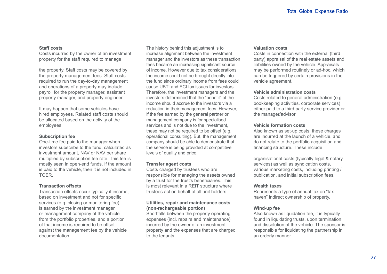#### **Staff costs**

Costs incurred by the owner of an investment property for the staff required to manage

the property. Staff costs may be covered by the property management fees. Staff costs required to run the day-to-day management and operations of a property may include payroll for the property manager, assistant property manager, and property engineer.

It may happen that some vehicles have hired employees. Related staff costs should be allocated based on the activity of the employees.

## **Subscription fee**

One-time fee paid to the manager when investors subscribe to the fund, calculated as investment amount, NAV or NAV per share multiplied by subscription fee rate. This fee is mostly seen in open-end funds. If the amount is paid to the vehicle, then it is not included in TGER.

## **Transaction offsets**

Transaction offsets occur typically if income, based on investment and not for specific services (e.g. closing or monitoring fee), is earned by the investment manager or management company of the vehicle from the portfolio properties, and a portion of that income is required to be offset against the management fee by the vehicle documentation.

The history behind this adjustment is to increase alignment between the investment manager and the investors as these transaction fees became an increasing significant source of income. However due to tax considerations, the income could not be brought directly into the fund since ordinary income from fees could cause UBTI and ECI tax issues for investors. Therefore, the investment managers and the investors determined that the "benefit" of the income should accrue to the investors via a reduction in their management fees. However, if the fee earned by the general partner or management company is for specialised services and is not due to the investment, these may not be required to be offset (e.g. operational consulting). But, the management company should be able to demonstrate that the service is being provided at competitive levels of quality and price.

## **Transfer agent costs**

Costs charged by trustees who are responsible for managing the assets owned by a trust for the trust's beneficiaries. This is most relevant in a REIT structure where trustees act on behalf of all unit holders.

## **Utilities, repair and maintenance costs (non-rechargeable portion)**

Shortfalls between the property operating expenses (incl. repairs and maintenance) incurred by the owner of an investment property and the expenses that are charged to the tenants.

## **Valuation costs**

Costs in connection with the external (third party) appraisal of the real estate assets and liabilities owned by the vehicle. Appraisals may be performed routinely or ad-hoc, which can be triggered by certain provisions in the vehicle agreement.

#### **Vehicle administration costs**

Costs related to general administration (e.g. bookkeeping activities, corporate services) either paid to a third party service provider or the manager/advisor.

## **Vehicle formation costs**

Also known as set-up costs, these charges are incurred at the launch of a vehicle, and do not relate to the portfolio acquisition and financing structure. These include

organisational costs (typically legal & notary services) as well as syndication costs, various marketing costs, including printing / publication, and initial subscription fees.

## **Wealth taxes**

Represents a type of annual tax on "tax haven" indirect ownership of property.

## **Wind-up fee**

Also known as liquidation fee, it is typically found in liquidating trusts, upon termination and dissolution of the vehicle. The sponsor is responsible for liquidating the partnership in an orderly manner.